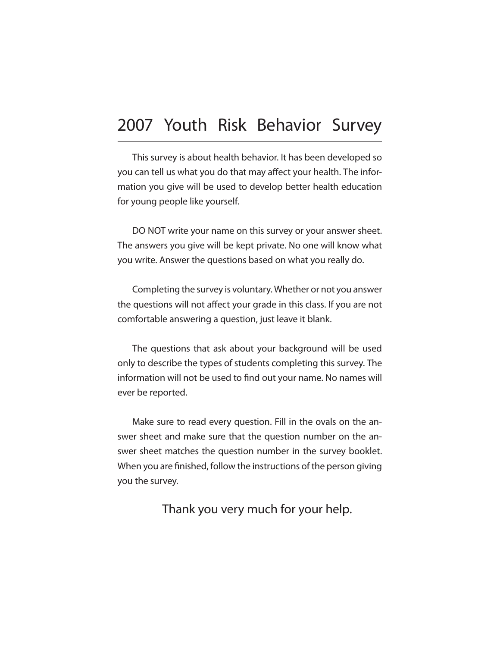## 2007 Youth Risk Behavior Survey

This survey is about health behavior. It has been developed so you can tell us what you do that may affect your health. The information you give will be used to develop better health education for young people like yourself.

DO NOT write your name on this survey or your answer sheet. The answers you give will be kept private. No one will know what you write. Answer the questions based on what you really do.

Completing the survey is voluntary. Whether or not you answer the questions will not affect your grade in this class. If you are not comfortable answering a question, just leave it blank.

The questions that ask about your background will be used only to describe the types of students completing this survey. The information will not be used to find out your name. No names will ever be reported.

Make sure to read every question. Fill in the ovals on the answer sheet and make sure that the question number on the answer sheet matches the question number in the survey booklet. When you are finished, follow the instructions of the person giving you the survey.

Thank you very much for your help.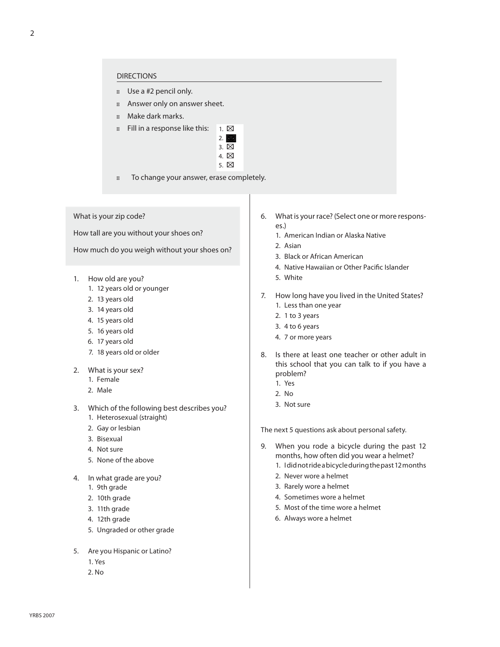## DIRECTIONS

- **B** Use a #2 pencil only.
- **Answer only on answer sheet.**
- Make dark marks.
- $\Box$  Fill in a response like this:  $\Box$  1.  $\boxtimes$



**Natural To change your answer, erase completely.** 

What is your zip code?

How tall are you without your shoes on?

How much do you weigh without your shoes on?

- 1. How old are you?
	- 1. 12 years old or younger
	- 2. 13 years old
	- 3. 14 years old
	- 4. 15 years old
	- 5. 16 years old
	- 6. 17 years old
	- 7. 18 years old or older
- 2. What is your sex?
	- 1. Female
	- 2. Male
- 3. Which of the following best describes you?
	- 1. Heterosexual (straight)
	- 2. Gay or lesbian
	- 3. Bisexual
	- 4. Not sure
	- 5. None of the above
- 4. In what grade are you?
	- 1. 9th grade
	- 2. 10th grade
	- 3. 11th grade
	- 4. 12th grade
	- 5. Ungraded or other grade
- 5. Are you Hispanic or Latino?
	- 1. Yes
	- 2. No
- 6. What is your race? (Select one or more responses.)
	- 1. American Indian or Alaska Native
	- 2. Asian
	- 3. Black or African American
	- 4. Native Hawaiian or Other Pacific Islander
	- 5. White
- 7. How long have you lived in the United States? 1. Less than one year
	- 2. 1 to 3 years
	- 3. 4 to 6 years
	- 4. 7 or more years
- 8. Is there at least one teacher or other adult in this school that you can talk to if you have a problem?
	- 1. Yes
	- 2. No
	- 3. Not sure

The next 5 questions ask about personal safety.

- 9. When you rode a bicycle during the past 12 months, how often did you wear a helmet?
	- 1. I did not ride a bicycle during the past 12 months
	- 2. Never wore a helmet
	- 3. Rarely wore a helmet
	- 4. Sometimes wore a helmet
	- 5. Most of the time wore a helmet
	- 6. Always wore a helmet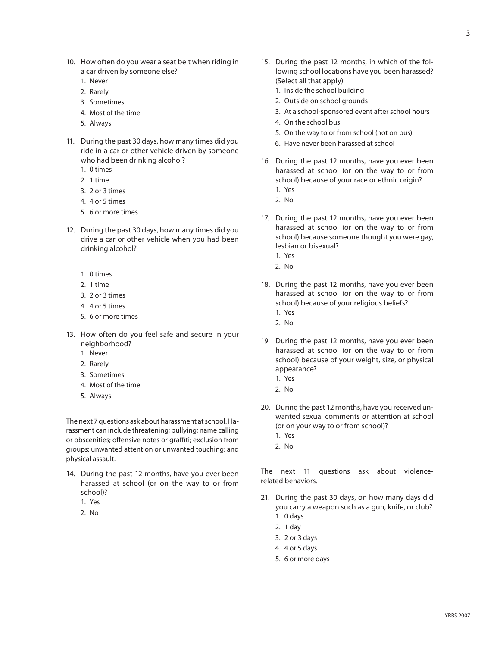- 10. How often do you wear a seat belt when riding in a car driven by someone else?
	- 1. Never
	- 2. Rarely
	- 3. Sometimes
	- 4. Most of the time
	- 5. Always
- 11. During the past 30 days, how many times did you ride in a car or other vehicle driven by someone who had been drinking alcohol?
	- 1. 0 times
	- 2. 1 time
	- 3. 2 or 3 times
	- 4. 4 or 5 times
	- 5. 6 or more times
- 12. During the past 30 days, how many times did you drive a car or other vehicle when you had been drinking alcohol?
	- 1. 0 times
	- 2. 1 time
	- 3. 2 or 3 times
	- 4. 4 or 5 times
	- 5. 6 or more times
- 13. How often do you feel safe and secure in your neighborhood?
	- 1. Never
	- 2. Rarely
	- 3. Sometimes
	- 4. Most of the time
	- 5. Always

The next 7 questions ask about harassment at school. Harassment can include threatening; bullying; name calling or obscenities; offensive notes or graffiti; exclusion from groups; unwanted attention or unwanted touching; and physical assault.

- 14. During the past 12 months, have you ever been harassed at school (or on the way to or from school)?
	- 1. Yes
	- 2. No
- 15. During the past 12 months, in which of the following school locations have you been harassed? (Select all that apply)
	- 1. Inside the school building
	- 2. Outside on school grounds
	- 3. At a school-sponsored event after school hours
	- 4. On the school bus
	- 5. On the way to or from school (not on bus)
	- 6. Have never been harassed at school
- 16. During the past 12 months, have you ever been harassed at school (or on the way to or from school) because of your race or ethnic origin?
	- 1. Yes
	- 2. No
- 17. During the past 12 months, have you ever been harassed at school (or on the way to or from school) because someone thought you were gay, lesbian or bisexual?
	- 1. Yes
	- 2. No
- 18. During the past 12 months, have you ever been harassed at school (or on the way to or from school) because of your religious beliefs?
	- 1. Yes
	- 2. No
- 19. During the past 12 months, have you ever been harassed at school (or on the way to or from school) because of your weight, size, or physical appearance?
	- 1. Yes
	- 2. No
- 20. During the past 12 months, have you received unwanted sexual comments or attention at school (or on your way to or from school)?
	- 1. Yes
	- 2. No

The next 11 questions ask about violencerelated behaviors.

- 21. During the past 30 days, on how many days did you carry a weapon such as a gun, knife, or club?
	- 1. 0 days
	- 2. 1 day
	- 3. 2 or 3 days
	- 4. 4 or 5 days
	- 5. 6 or more days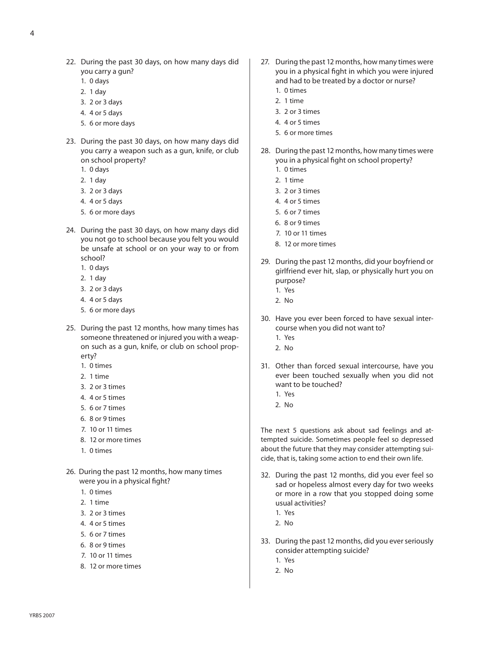- 22. During the past 30 days, on how many days did you carry a gun?
	- 1. 0 days
	- 2. 1 day
	- 3. 2 or 3 days
	- 4. 4 or 5 days
	- 5. 6 or more days
- 23. During the past 30 days, on how many days did you carry a weapon such as a gun, knife, or club on school property?
	- 1. 0 days
	- 2. 1 day
	- 3. 2 or 3 days
	- 4. 4 or 5 days
	- 5. 6 or more days
- 24. During the past 30 days, on how many days did you not go to school because you felt you would be unsafe at school or on your way to or from school?
	- 1. 0 days
	- 2. 1 day
	- 3. 2 or 3 days
	- 4. 4 or 5 days
	- 5. 6 or more days
- 25. During the past 12 months, how many times has someone threatened or injured you with a weapon such as a gun, knife, or club on school property?
	- 1. 0 times
	- 2. 1 time
	- 3. 2 or 3 times
	- 4. 4 or 5 times
	- 5. 6 or 7 times
	- 6. 8 or 9 times
	- 7. 10 or 11 times
	- 8. 12 or more times
	- 1. 0 times
- 26. During the past 12 months, how many times were you in a physical fight?
	- 1. 0 times
	- 2. 1 time
	- 3. 2 or 3 times
	- 4. 4 or 5 times
	- 5. 6 or 7 times
	- 6. 8 or 9 times
	- 7. 10 or 11 times
	- 8. 12 or more times
- 27. During the past 12 months, how many times were you in a physical fight in which you were injured and had to be treated by a doctor or nurse? 1. 0 times
	- 2. 1 time
	- 3. 2 or 3 times
	- 4. 4 or 5 times
	- 5. 6 or more times
- 28. During the past 12 months, how many times were you in a physical fight on school property?
	- 1. 0 times
	- 2. 1 time
	- 3. 2 or 3 times
	- 4. 4 or 5 times
	- 5. 6 or 7 times
	- 6. 8 or 9 times
	- 7. 10 or 11 times
	- 8. 12 or more times
- 29. During the past 12 months, did your boyfriend or girlfriend ever hit, slap, or physically hurt you on purpose?
	- 1. Yes
	- 2. No
- 30. Have you ever been forced to have sexual intercourse when you did not want to?
	- 1. Yes
	- 2. No
- 31. Other than forced sexual intercourse, have you ever been touched sexually when you did not want to be touched?
	- 1. Yes
	- 2. No

The next 5 questions ask about sad feelings and attempted suicide. Sometimes people feel so depressed about the future that they may consider attempting suicide, that is, taking some action to end their own life.

- 32. During the past 12 months, did you ever feel so sad or hopeless almost every day for two weeks or more in a row that you stopped doing some usual activities?
	- 1. Yes
	- 2. No
- 33. During the past 12 months, did you ever seriously consider attempting suicide?
	- 1. Yes
	- 2. No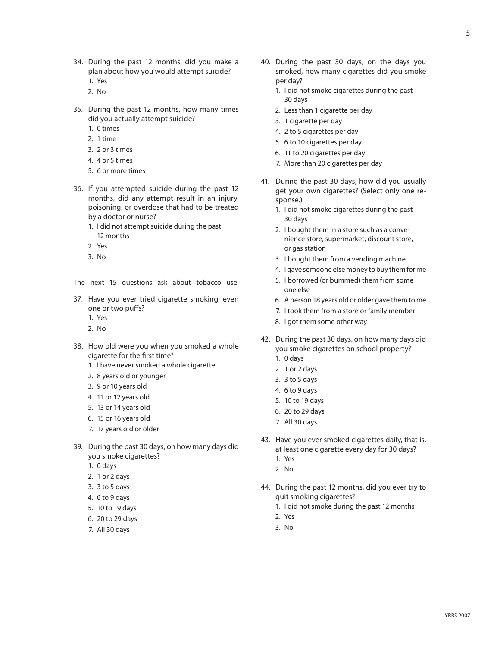- 34. During the past 12 months, did you make a plan about how you would attempt suicide? 1. Yes
	-
	- 2. No
- 35. During the past 12 months, how many times did you actually attempt suicide?
	- 1. 0 times
	- 2. 1 time
	- 3. 2 or 3 times
	- 4. 4 or 5 times
	- 5. 6 or more times
- 36. If you attempted suicide during the past 12 months, did any attempt result in an injury, poisoning, or overdose that had to be treated by a doctor or nurse?
	- 1. I did not attempt suicide during the past 12 months
	- 2. Yes
	- 3. No

The next 15 questions ask about tobacco use.

- 37. Have you ever tried cigarette smoking, even one or two puffs?
	- 1. Yes
	- 2. No
- 38. How old were you when you smoked a whole cigarette for the first time?
	- 1. I have never smoked a whole cigarette
	- 2. 8 years old or younger
	- 3. 9 or 10 years old
	- 4. 11 or 12 years old
	- 5. 13 or 14 years old
	- 6. 15 or 16 years old
	- 7. 17 years old or older
- 39. During the past 30 days, on how many days did you smoke cigarettes?
	- 1. 0 days
	- 2. 1 or 2 days
	- 3. 3 to 5 days
	- 4. 6 to 9 days
	- 5. 10 to 19 days
	- 6. 20 to 29 days
	- 7. All 30 days
- 40. During the past 30 days, on the days you smoked, how many cigarettes did you smoke per day?
	- 1. I did not smoke cigarettes during the past 30 days
	- 2. Less than 1 cigarette per day
	- 3. 1 cigarette per day
	- 4. 2 to 5 cigarettes per day
	- 5. 6 to 10 cigarettes per day
	- 6. 11 to 20 cigarettes per day
	- 7. More than 20 cigarettes per day
- 41. During the past 30 days, how did you usually get your own cigarettes? (Select only one response.)
	- 1. I did not smoke cigarettes during the past 30 days
	- 2. I bought them in a store such as a conve nience store, supermarket, discount store, or gas station
	- 3. I bought them from a vending machine
	- 4. I gave someone else money to buy them for me
	- 5. I borrowed (or bummed) them from some one else
	- 6. A person 18 years old or older gave them to me
	- 7. I took them from a store or family member
	- 8. I got them some other way
- 42. During the past 30 days, on how many days did you smoke cigarettes on school property?
	- 1. 0 days
	- 2. 1 or 2 days
	- 3. 3 to 5 days
	- 4. 6 to 9 days
	- 5. 10 to 19 days
	- 6. 20 to 29 days
	- 7. All 30 days
- 43. Have you ever smoked cigarettes daily, that is, at least one cigarette every day for 30 days?
	- 1. Yes
	- 2. No
- 44. During the past 12 months, did you ever try to quit smoking cigarettes?
	- 1. I did not smoke during the past 12 months
	- 2. Yes
	- 3. No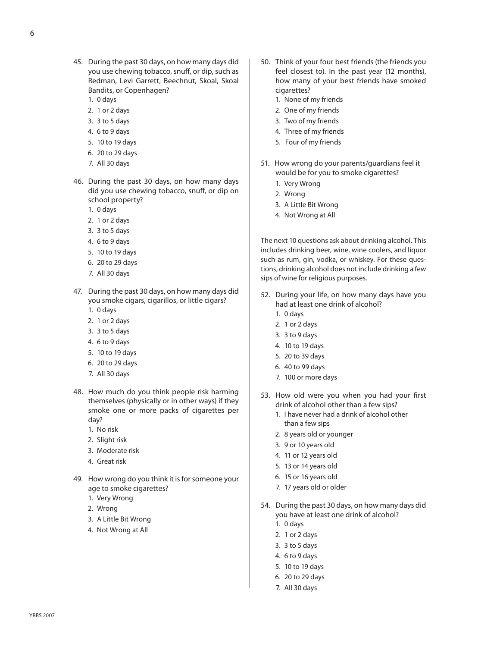- 45. During the past 30 days, on how many days did you use chewing tobacco, snuff, or dip, such as Redman, Levi Garrett, Beechnut, Skoal, Skoal Bandits, or Copenhagen?
	- 1. 0 days
	- 2. 1 or 2 days
	- 3. 3 to 5 days
	- 4. 6 to 9 days
	- 5. 10 to 19 days
	- 6. 20 to 29 days
	- 7. All 30 days
- 46. During the past 30 days, on how many days did you use chewing tobacco, snuff, or dip on school property?
	- 1. 0 days
	- 2. 1 or 2 days
	- 3. 3 to 5 days
	- 4. 6 to 9 days
	- 5. 10 to 19 days
	- 6. 20 to 29 days
	- 7. All 30 days
- 47. During the past 30 days, on how many days did you smoke cigars, cigarillos, or little cigars?
	- 1. 0 days
	- 2. 1 or 2 days
	- 3. 3 to 5 days
	- 4. 6 to 9 days
	- 5. 10 to 19 days
	- 6. 20 to 29 days
	- 7. All 30 days
- 48. How much do you think people risk harming themselves (physically or in other ways) if they smoke one or more packs of cigarettes per day?
	- 1. No risk
	- 2. Slight risk
	- 3. Moderate risk
	- 4. Great risk
- 49. How wrong do you think it is for someone your age to smoke cigarettes?
	- 1. Very Wrong
	- 2. Wrong
	- 3. A Little Bit Wrong
	- 4. Not Wrong at All
- 50. Think of your four best friends (the friends you feel closest to). In the past year (12 months), how many of your best friends have smoked cigarettes?
	- 1. None of my friends
	- 2. One of my friends
	- 3. Two of my friends
	- 4. Three of my friends
	- 5. Four of my friends
- 51. How wrong do your parents/guardians feel it would be for you to smoke cigarettes?
	- 1. Very Wrong
	- 2. Wrong
	- 3. A Little Bit Wrong
	- 4. Not Wrong at All

The next 10 questions ask about drinking alcohol. This includes drinking beer, wine, wine coolers, and liquor such as rum, gin, vodka, or whiskey. For these questions, drinking alcohol does not include drinking a few sips of wine for religious purposes.

- 52. During your life, on how many days have you had at least one drink of alcohol?
	- 1. 0 days
	- 2. 1 or 2 days
	- 3. 3 to 9 days
	- 4. 10 to 19 days
	- 5. 20 to 39 days
	- 6. 40 to 99 days
	- 7. 100 or more days
- 53. How old were you when you had your first drink of alcohol other than a few sips?
	- 1. I have never had a drink of alcohol other than a few sips
	- 2. 8 years old or younger
	- 3. 9 or 10 years old
	- 4. 11 or 12 years old
	- 5. 13 or 14 years old
	- 6. 15 or 16 years old
	- 7. 17 years old or older
- 54. During the past 30 days, on how many days did you have at least one drink of alcohol?
	- 1. 0 days
	- 2. 1 or 2 days
	- 3. 3 to 5 days
	- 4. 6 to 9 days
	- 5. 10 to 19 days
	- 6. 20 to 29 days
	- 7. All 30 days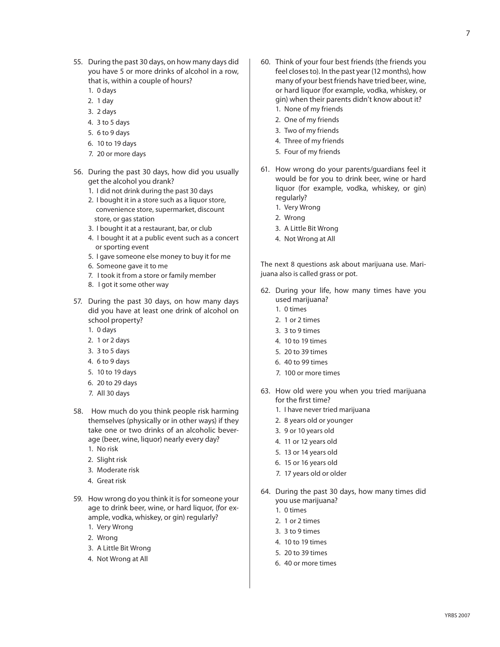- 55. During the past 30 days, on how many days did you have 5 or more drinks of alcohol in a row, that is, within a couple of hours?
	- 1. 0 days
	- 2. 1 day
	- 3. 2 days
	- 4. 3 to 5 days
	- 5. 6 to 9 days
	- 6. 10 to 19 days
	- 7. 20 or more days
- 56. During the past 30 days, how did you usually get the alcohol you drank?
	- 1. I did not drink during the past 30 days
	- 2. I bought it in a store such as a liquor store, convenience store, supermarket, discount store, or gas station
	- 3. I bought it at a restaurant, bar, or club
	- 4. I bought it at a public event such as a concert or sporting event
	- 5. I gave someone else money to buy it for me
	- 6. Someone gave it to me
	- 7. I took it from a store or family member
	- 8. I got it some other way
- 57. During the past 30 days, on how many days did you have at least one drink of alcohol on school property?
	- 1. 0 days
	- 2. 1 or 2 days
	- 3. 3 to 5 days
	- 4. 6 to 9 days
	- 5. 10 to 19 days
	- 6. 20 to 29 days
	- 7. All 30 days
- 58. How much do you think people risk harming themselves (physically or in other ways) if they take one or two drinks of an alcoholic beverage (beer, wine, liquor) nearly every day?
	- 1. No risk
	- 2. Slight risk
	- 3. Moderate risk
	- 4. Great risk
- 59. How wrong do you think it is for someone your age to drink beer, wine, or hard liquor, (for example, vodka, whiskey, or gin) regularly?
	- 1. Very Wrong
	- 2. Wrong
	- 3. A Little Bit Wrong
	- 4. Not Wrong at All
- 60. Think of your four best friends (the friends you feel closes to). In the past year (12 months), how many of your best friends have tried beer, wine, or hard liquor (for example, vodka, whiskey, or gin) when their parents didn't know about it?
	- 1. None of my friends
	- 2. One of my friends
	- 3. Two of my friends 4. Three of my friends
	- 5. Four of my friends
- 61. How wrong do your parents/guardians feel it would be for you to drink beer, wine or hard liquor (for example, vodka, whiskey, or gin)
	- regularly? 1. Very Wrong
	- 2. Wrong
	- 3. A Little Bit Wrong
	-
	- 4. Not Wrong at All

The next 8 questions ask about marijuana use. Marijuana also is called grass or pot.

- 62. During your life, how many times have you used marijuana?
	- 1. 0 times
	- 2. 1 or 2 times
	- 3. 3 to 9 times
	- 4. 10 to 19 times
	- 5. 20 to 39 times
	- 6. 40 to 99 times
	- 7. 100 or more times
- 63. How old were you when you tried marijuana for the first time?
	- 1. I have never tried marijuana
	- 2. 8 years old or younger
	- 3. 9 or 10 years old
	- 4. 11 or 12 years old
	- 5. 13 or 14 years old
	- 6. 15 or 16 years old
	- 7. 17 years old or older
- 64. During the past 30 days, how many times did you use marijuana?
	- 1. 0 times
	- 2. 1 or 2 times
	- 3. 3 to 9 times
	- 4. 10 to 19 times
	- 5. 20 to 39 times
	- 6. 40 or more times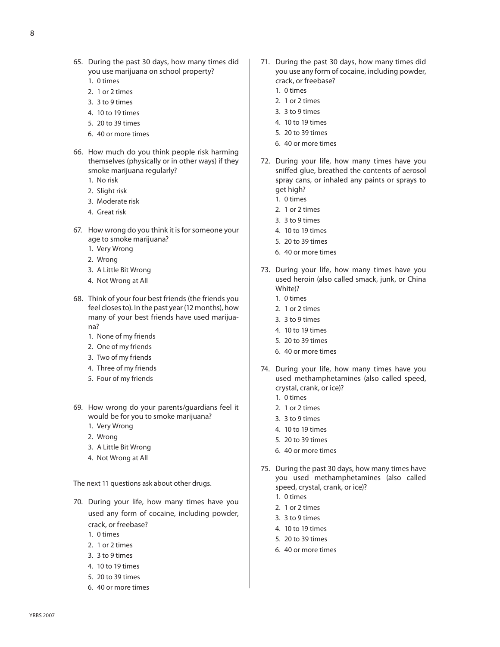8

- 65. During the past 30 days, how many times did you use marijuana on school property?
	- 1. 0 times
	- 2. 1 or 2 times
	- 3. 3 to 9 times
	- 4. 10 to 19 times
	- 5. 20 to 39 times
	- 6. 40 or more times
- 66. How much do you think people risk harming themselves (physically or in other ways) if they smoke marijuana regularly?
	- 1. No risk
	- 2. Slight risk
	- 3. Moderate risk
	- 4. Great risk
- 67. How wrong do you think it is for someone your age to smoke marijuana?
	- 1. Very Wrong
	- 2. Wrong
	- 3. A Little Bit Wrong
	- 4. Not Wrong at All
- 68. Think of your four best friends (the friends you feel closes to). In the past year (12 months), how many of your best friends have used marijuana?
	- 1. None of my friends
	- 2. One of my friends
	- 3. Two of my friends
	- 4. Three of my friends
	- 5. Four of my friends
- 69. How wrong do your parents/guardians feel it would be for you to smoke marijuana?
	- 1. Very Wrong
	- 2. Wrong
	- 3. A Little Bit Wrong
	- 4. Not Wrong at All

The next 11 questions ask about other drugs.

- 70. During your life, how many times have you used any form of cocaine, including powder, crack, or freebase?
	- 1. 0 times
	- 2. 1 or 2 times
	- 3. 3 to 9 times
	- 4. 10 to 19 times
	- 5. 20 to 39 times
	- 6. 40 or more times
- 71. During the past 30 days, how many times did you use any form of cocaine, including powder, crack, or freebase?
	- 1. 0 times
	- 2. 1 or 2 times
	- 3. 3 to 9 times
	- 4. 10 to 19 times
	- 5. 20 to 39 times
	- 6. 40 or more times
- 72. During your life, how many times have you sniffed glue, breathed the contents of aerosol spray cans, or inhaled any paints or sprays to get high?
	- 1. 0 times
	- 2. 1 or 2 times
	- 3. 3 to 9 times
	- 4. 10 to 19 times
	- 5. 20 to 39 times
	- 6. 40 or more times
- 73. During your life, how many times have you used heroin (also called smack, junk, or China White)?
	- 1. 0 times
	- 2. 1 or 2 times
	- 3. 3 to 9 times
	- 4. 10 to 19 times
	- 5. 20 to 39 times
	- 6. 40 or more times
- 74. During your life, how many times have you used methamphetamines (also called speed, crystal, crank, or ice)?
	- 1. 0 times
	- 2. 1 or 2 times
	- 3. 3 to 9 times
	- 4. 10 to 19 times
	- 5. 20 to 39 times
	- 6. 40 or more times
- 75. During the past 30 days, how many times have you used methamphetamines (also called speed, crystal, crank, or ice)?
	- 1. 0 times
	- 2. 1 or 2 times
	- 3. 3 to 9 times
	- 4. 10 to 19 times
	- 5. 20 to 39 times
	- 6. 40 or more times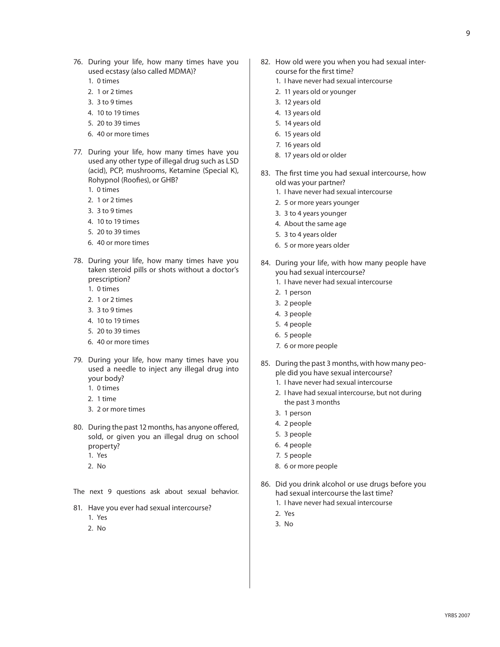- 76. During your life, how many times have you used ecstasy (also called MDMA)?
	- 1. 0 times
	- 2. 1 or 2 times
	- 3. 3 to 9 times
	- 4. 10 to 19 times
	- 5. 20 to 39 times
	- 6. 40 or more times
- 77. During your life, how many times have you used any other type of illegal drug such as LSD (acid), PCP, mushrooms, Ketamine (Special K), Rohypnol (Roofies), or GHB?
	- 1. 0 times
	- 2. 1 or 2 times
	- 3. 3 to 9 times
	- 4. 10 to 19 times
	- 5. 20 to 39 times
	- 6. 40 or more times
- 78. During your life, how many times have you taken steroid pills or shots without a doctor's prescription?
	- 1. 0 times
	- 2. 1 or 2 times
	- 3. 3 to 9 times
	- 4. 10 to 19 times
	- 5. 20 to 39 times
	- 6. 40 or more times
- 79. During your life, how many times have you used a needle to inject any illegal drug into your body?
	- 1. 0 times 2. 1 time
	-
	- 3. 2 or more times
- 80. During the past 12 months, has anyone offered, sold, or given you an illegal drug on school property? 1. Yes
	-
	- 2. No

The next 9 questions ask about sexual behavior.

- 81. Have you ever had sexual intercourse?
	- 1. Yes
	- 2. No
- 82. How old were you when you had sexual intercourse for the first time?
	- 1. I have never had sexual intercourse
	- 2. 11 years old or younger
	- 3. 12 years old
	- 4. 13 years old
	- 5. 14 years old
	- 6. 15 years old
	- 7. 16 years old
	- 8. 17 years old or older
- 83. The first time you had sexual intercourse, how old was your partner?
	- 1. I have never had sexual intercourse
	- 2. 5 or more years younger
	- 3. 3 to 4 years younger
	- 4. About the same age
	- 5. 3 to 4 years older
	- 6. 5 or more years older
- 84. During your life, with how many people have you had sexual intercourse?
	- 1. I have never had sexual intercourse
	- 2. 1 person
	- 3. 2 people
	- 4. 3 people
	- 5. 4 people
	- 6. 5 people
	- 7. 6 or more people
- 85. During the past 3 months, with how many people did you have sexual intercourse?
	- 1. I have never had sexual intercourse
	- 2. I have had sexual intercourse, but not during the past 3 months
	- 3. 1 person
	- 4. 2 people
	- 5. 3 people
	- 6. 4 people
	- 7. 5 people
	- 8. 6 or more people
- 86. Did you drink alcohol or use drugs before you had sexual intercourse the last time?
	- 1. I have never had sexual intercourse
	- 2. Yes
	- 3. No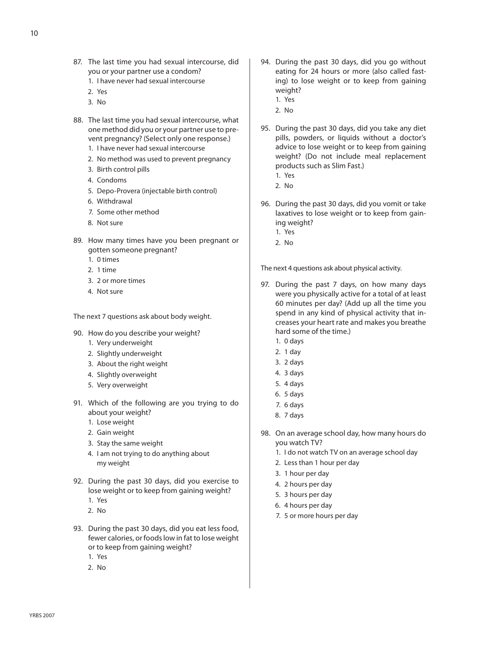- 87. The last time you had sexual intercourse, did you or your partner use a condom?
	- 1. I have never had sexual intercourse
	- 2. Yes
	- 3. No
- 88. The last time you had sexual intercourse, what one method did you or your partner use to prevent pregnancy? (Select only one response.)
	- 1. I have never had sexual intercourse
	- 2. No method was used to prevent pregnancy
	- 3. Birth control pills
	- 4. Condoms
	- 5. Depo-Provera (injectable birth control)
	- 6. Withdrawal
	- 7. Some other method
	- 8. Not sure
- 89. How many times have you been pregnant or gotten someone pregnant?
	- 1. 0 times
	- 2. 1 time
	- 3. 2 or more times
	- 4. Not sure

The next 7 questions ask about body weight.

- 90. How do you describe your weight?
	- 1. Very underweight
	- 2. Slightly underweight
	- 3. About the right weight
	- 4. Slightly overweight
	- 5. Very overweight
- 91. Which of the following are you trying to do about your weight?
	- 1. Lose weight
	- 2. Gain weight
	- 3. Stay the same weight
	- 4. I am not trying to do anything about my weight
- 92. During the past 30 days, did you exercise to lose weight or to keep from gaining weight?
	- 1. Yes
	- 2. No
- 93. During the past 30 days, did you eat less food, fewer calories, or foods low in fat to lose weight or to keep from gaining weight?
	- 1. Yes
	- 2. No
- 94. During the past 30 days, did you go without eating for 24 hours or more (also called fasting) to lose weight or to keep from gaining weight?
	- 1. Yes
	- 2. No
- 95. During the past 30 days, did you take any diet pills, powders, or liquids without a doctor's advice to lose weight or to keep from gaining weight? (Do not include meal replacement products such as Slim Fast.)
	- 1. Yes
	- 2. No
- 96. During the past 30 days, did you vomit or take laxatives to lose weight or to keep from gaining weight?
	- 1. Yes
	- 2. No

The next 4 questions ask about physical activity.

- 97. During the past 7 days, on how many days were you physically active for a total of at least 60 minutes per day? (Add up all the time you spend in any kind of physical activity that increases your heart rate and makes you breathe hard some of the time.)
	- 1. 0 days
	- 2. 1 day
	- 3. 2 days
	- 4. 3 days
	- 5. 4 days
	- 6. 5 days
	- 7. 6 days
	- 8. 7 days
- 98. On an average school day, how many hours do you watch TV?
	- 1. I do not watch TV on an average school day
	- 2. Less than 1 hour per day
	- 3. 1 hour per day
	- 4. 2 hours per day
	- 5. 3 hours per day
	- 6. 4 hours per day
	- 7. 5 or more hours per day